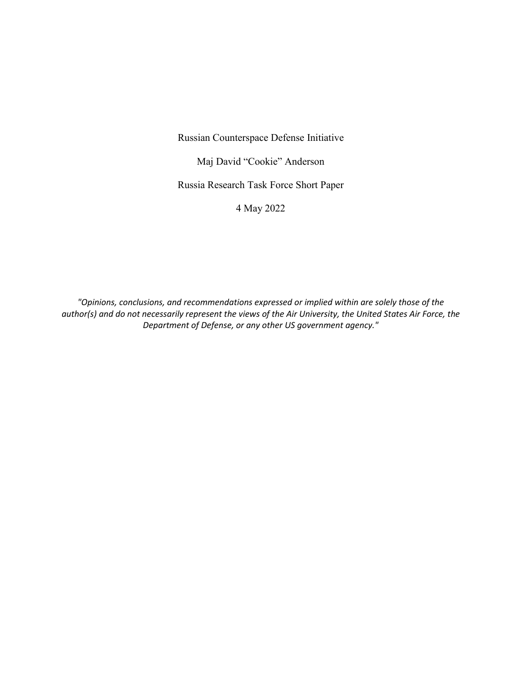Russian Counterspace Defense Initiative

Maj David "Cookie" Anderson

Russia Research Task Force Short Paper

4 May 2022

*"Opinions, conclusions, and recommendations expressed or implied within are solely those of the author(s) and do not necessarily represent the views of the Air University, the United States Air Force, the Department of Defense, or any other US government agency."*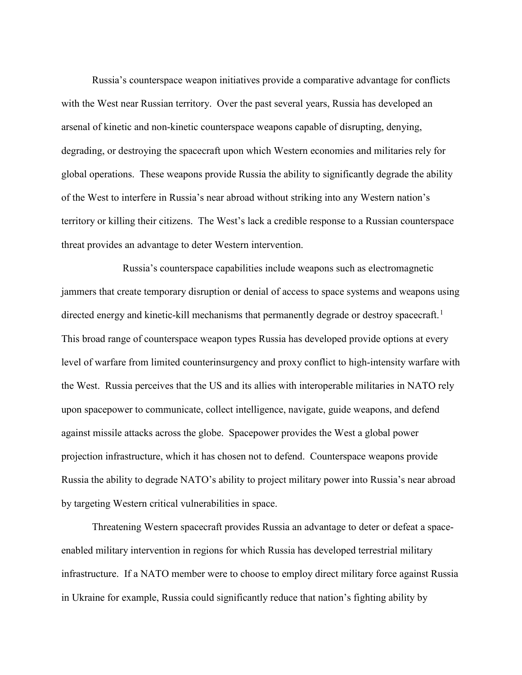Russia's counterspace weapon initiatives provide a comparative advantage for conflicts with the West near Russian territory. Over the past several years, Russia has developed an arsenal of kinetic and non-kinetic counterspace weapons capable of disrupting, denying, degrading, or destroying the spacecraft upon which Western economies and militaries rely for global operations. These weapons provide Russia the ability to significantly degrade the ability of the West to interfere in Russia's near abroad without striking into any Western nation's territory or killing their citizens. The West's lack a credible response to a Russian counterspace threat provides an advantage to deter Western intervention.

Russia's counterspace capabilities include weapons such as electromagnetic jammers that create temporary disruption or denial of access to space systems and weapons using directed energy and kinetic-kill mechanisms that permanently degrade or destroy spacecraft.<sup>[1](#page-3-0)</sup> This broad range of counterspace weapon types Russia has developed provide options at every level of warfare from limited counterinsurgency and proxy conflict to high-intensity warfare with the West. Russia perceives that the US and its allies with interoperable militaries in NATO rely upon spacepower to communicate, collect intelligence, navigate, guide weapons, and defend against missile attacks across the globe. Spacepower provides the West a global power projection infrastructure, which it has chosen not to defend. Counterspace weapons provide Russia the ability to degrade NATO's ability to project military power into Russia's near abroad by targeting Western critical vulnerabilities in space.

Threatening Western spacecraft provides Russia an advantage to deter or defeat a spaceenabled military intervention in regions for which Russia has developed terrestrial military infrastructure. If a NATO member were to choose to employ direct military force against Russia in Ukraine for example, Russia could significantly reduce that nation's fighting ability by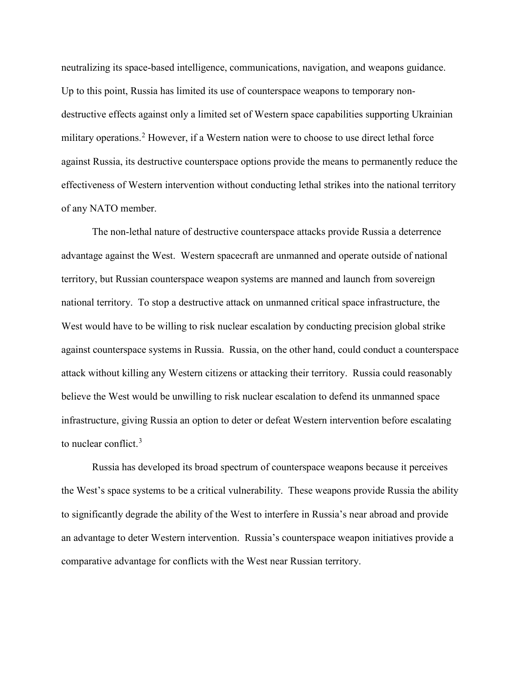neutralizing its space-based intelligence, communications, navigation, and weapons guidance. Up to this point, Russia has limited its use of counterspace weapons to temporary nondestructive effects against only a limited set of Western space capabilities supporting Ukrainian military operations.<sup>[2](#page-3-1)</sup> However, if a Western nation were to choose to use direct lethal force against Russia, its destructive counterspace options provide the means to permanently reduce the effectiveness of Western intervention without conducting lethal strikes into the national territory of any NATO member.

The non-lethal nature of destructive counterspace attacks provide Russia a deterrence advantage against the West. Western spacecraft are unmanned and operate outside of national territory, but Russian counterspace weapon systems are manned and launch from sovereign national territory. To stop a destructive attack on unmanned critical space infrastructure, the West would have to be willing to risk nuclear escalation by conducting precision global strike against counterspace systems in Russia. Russia, on the other hand, could conduct a counterspace attack without killing any Western citizens or attacking their territory. Russia could reasonably believe the West would be unwilling to risk nuclear escalation to defend its unmanned space infrastructure, giving Russia an option to deter or defeat Western intervention before escalating to nuclear conflict.[3](#page-3-2)

Russia has developed its broad spectrum of counterspace weapons because it perceives the West's space systems to be a critical vulnerability. These weapons provide Russia the ability to significantly degrade the ability of the West to interfere in Russia's near abroad and provide an advantage to deter Western intervention. Russia's counterspace weapon initiatives provide a comparative advantage for conflicts with the West near Russian territory.